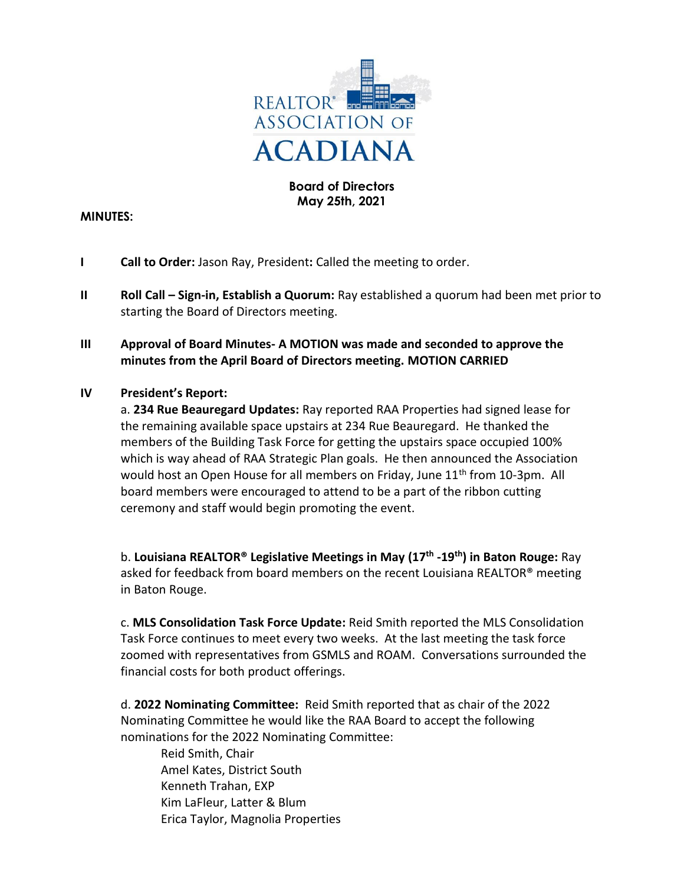

### **Board of Directors May 25th, 2021**

#### **MINUTES:**

- **I Call to Order:** Jason Ray, President**:** Called the meeting to order.
- **II Roll Call Sign-in, Establish a Quorum:** Ray established a quorum had been met prior to starting the Board of Directors meeting.
- **III Approval of Board Minutes- A MOTION was made and seconded to approve the minutes from the April Board of Directors meeting. MOTION CARRIED**

### **IV President's Report:**

a. **234 Rue Beauregard Updates:** Ray reported RAA Properties had signed lease for the remaining available space upstairs at 234 Rue Beauregard. He thanked the members of the Building Task Force for getting the upstairs space occupied 100% which is way ahead of RAA Strategic Plan goals. He then announced the Association would host an Open House for all members on Friday, June  $11<sup>th</sup>$  from 10-3pm. All board members were encouraged to attend to be a part of the ribbon cutting ceremony and staff would begin promoting the event.

b. **Louisiana REALTOR® Legislative Meetings in May (17 th -19th) in Baton Rouge:** Ray asked for feedback from board members on the recent Louisiana REALTOR® meeting in Baton Rouge.

c. **MLS Consolidation Task Force Update:** Reid Smith reported the MLS Consolidation Task Force continues to meet every two weeks. At the last meeting the task force zoomed with representatives from GSMLS and ROAM. Conversations surrounded the financial costs for both product offerings.

d. **2022 Nominating Committee:** Reid Smith reported that as chair of the 2022 Nominating Committee he would like the RAA Board to accept the following nominations for the 2022 Nominating Committee:

Reid Smith, Chair Amel Kates, District South Kenneth Trahan, EXP Kim LaFleur, Latter & Blum Erica Taylor, Magnolia Properties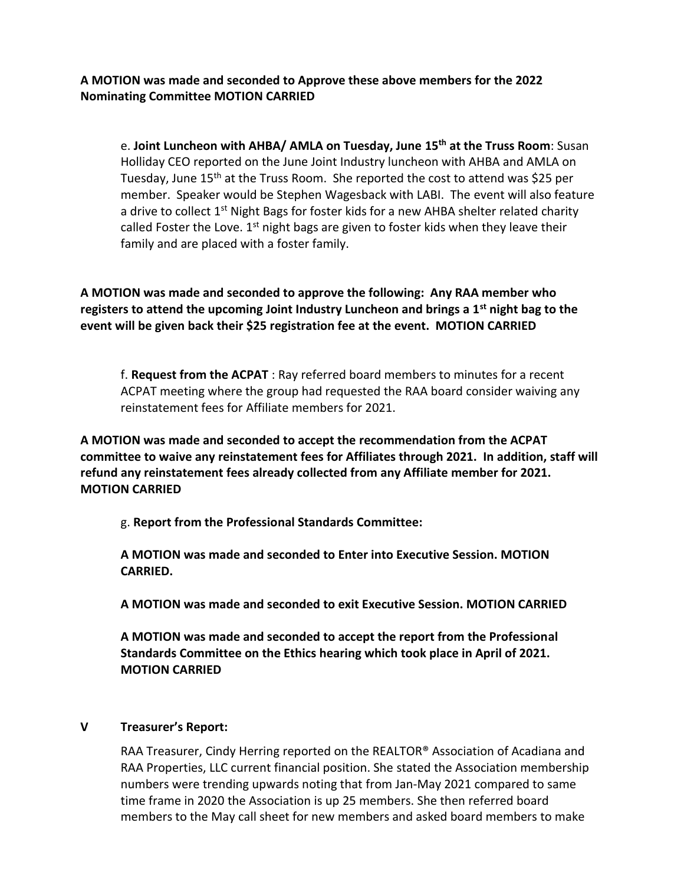**A MOTION was made and seconded to Approve these above members for the 2022 Nominating Committee MOTION CARRIED**

e. **Joint Luncheon with AHBA/ AMLA on Tuesday, June 15th at the Truss Room**: Susan Holliday CEO reported on the June Joint Industry luncheon with AHBA and AMLA on Tuesday, June 15<sup>th</sup> at the Truss Room. She reported the cost to attend was \$25 per member. Speaker would be Stephen Wagesback with LABI. The event will also feature a drive to collect  $1<sup>st</sup>$  Night Bags for foster kids for a new AHBA shelter related charity called Foster the Love.  $1<sup>st</sup>$  night bags are given to foster kids when they leave their family and are placed with a foster family.

**A MOTION was made and seconded to approve the following: Any RAA member who registers to attend the upcoming Joint Industry Luncheon and brings a 1st night bag to the event will be given back their \$25 registration fee at the event. MOTION CARRIED**

f. **Request from the ACPAT** : Ray referred board members to minutes for a recent ACPAT meeting where the group had requested the RAA board consider waiving any reinstatement fees for Affiliate members for 2021.

**A MOTION was made and seconded to accept the recommendation from the ACPAT committee to waive any reinstatement fees for Affiliates through 2021. In addition, staff will refund any reinstatement fees already collected from any Affiliate member for 2021. MOTION CARRIED**

g. **Report from the Professional Standards Committee:**

**A MOTION was made and seconded to Enter into Executive Session. MOTION CARRIED.**

**A MOTION was made and seconded to exit Executive Session. MOTION CARRIED**

**A MOTION was made and seconded to accept the report from the Professional Standards Committee on the Ethics hearing which took place in April of 2021. MOTION CARRIED**

#### **V Treasurer's Report:**

RAA Treasurer, Cindy Herring reported on the REALTOR® Association of Acadiana and RAA Properties, LLC current financial position. She stated the Association membership numbers were trending upwards noting that from Jan-May 2021 compared to same time frame in 2020 the Association is up 25 members. She then referred board members to the May call sheet for new members and asked board members to make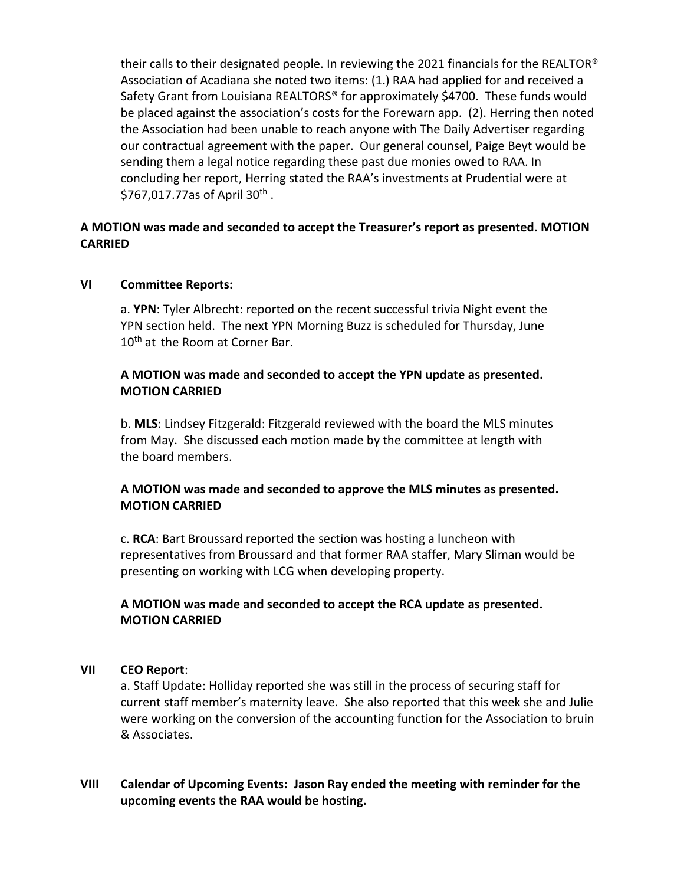their calls to their designated people. In reviewing the 2021 financials for the REALTOR® Association of Acadiana she noted two items: (1.) RAA had applied for and received a Safety Grant from Louisiana REALTORS<sup>®</sup> for approximately \$4700. These funds would be placed against the association's costs for the Forewarn app. (2). Herring then noted the Association had been unable to reach anyone with The Daily Advertiser regarding our contractual agreement with the paper. Our general counsel, Paige Beyt would be sending them a legal notice regarding these past due monies owed to RAA. In concluding her report, Herring stated the RAA's investments at Prudential were at \$767,017.77as of April 30<sup>th</sup>.

## **A MOTION was made and seconded to accept the Treasurer's report as presented. MOTION CARRIED**

#### **VI Committee Reports:**

a. **YPN**: Tyler Albrecht: reported on the recent successful trivia Night event the YPN section held. The next YPN Morning Buzz is scheduled for Thursday, June 10<sup>th</sup> at the Room at Corner Bar.

## **A MOTION was made and seconded to accept the YPN update as presented. MOTION CARRIED**

b. **MLS**: Lindsey Fitzgerald: Fitzgerald reviewed with the board the MLS minutes from May. She discussed each motion made by the committee at length with the board members.

# **A MOTION was made and seconded to approve the MLS minutes as presented. MOTION CARRIED**

c. **RCA**: Bart Broussard reported the section was hosting a luncheon with representatives from Broussard and that former RAA staffer, Mary Sliman would be presenting on working with LCG when developing property.

## **A MOTION was made and seconded to accept the RCA update as presented. MOTION CARRIED**

## **VII CEO Report**:

a. Staff Update: Holliday reported she was still in the process of securing staff for current staff member's maternity leave. She also reported that this week she and Julie were working on the conversion of the accounting function for the Association to bruin & Associates.

**VIII Calendar of Upcoming Events: Jason Ray ended the meeting with reminder for the upcoming events the RAA would be hosting.**